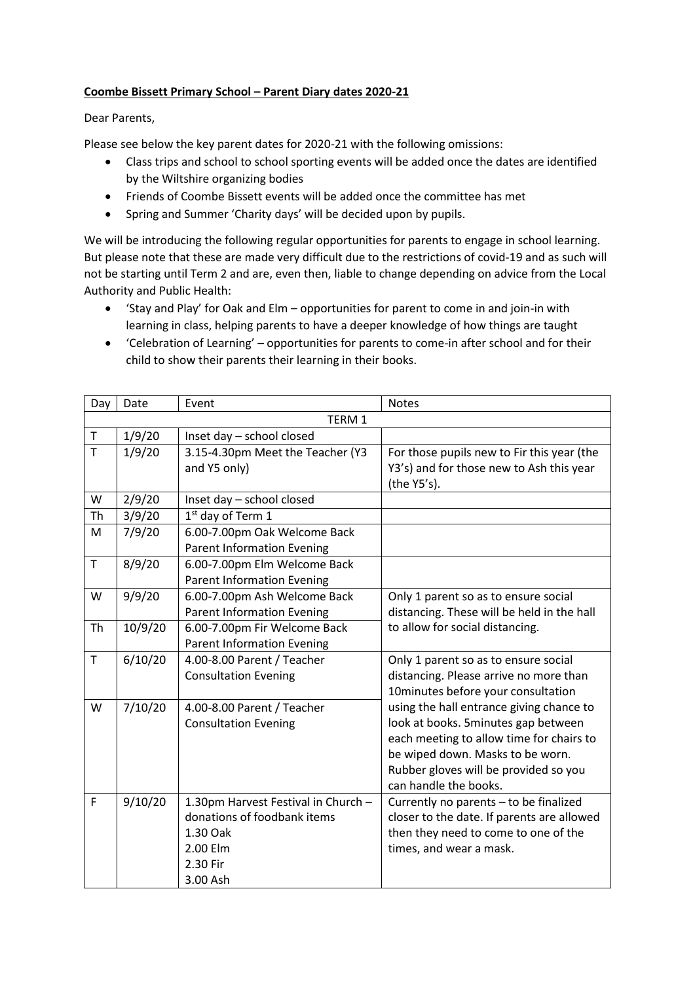## **Coombe Bissett Primary School – Parent Diary dates 2020-21**

## Dear Parents,

Please see below the key parent dates for 2020-21 with the following omissions:

- Class trips and school to school sporting events will be added once the dates are identified by the Wiltshire organizing bodies
- Friends of Coombe Bissett events will be added once the committee has met
- Spring and Summer 'Charity days' will be decided upon by pupils.

We will be introducing the following regular opportunities for parents to engage in school learning. But please note that these are made very difficult due to the restrictions of covid-19 and as such will not be starting until Term 2 and are, even then, liable to change depending on advice from the Local Authority and Public Health:

- 'Stay and Play' for Oak and Elm opportunities for parent to come in and join-in with learning in class, helping parents to have a deeper knowledge of how things are taught
- 'Celebration of Learning' opportunities for parents to come-in after school and for their child to show their parents their learning in their books.

| Day         | Date    | Event                               | <b>Notes</b>                               |  |  |  |
|-------------|---------|-------------------------------------|--------------------------------------------|--|--|--|
|             | TERM 1  |                                     |                                            |  |  |  |
| $\top$      | 1/9/20  | Inset day - school closed           |                                            |  |  |  |
| T           | 1/9/20  | 3.15-4.30pm Meet the Teacher (Y3    | For those pupils new to Fir this year (the |  |  |  |
|             |         | and Y5 only)                        | Y3's) and for those new to Ash this year   |  |  |  |
|             |         |                                     | (the Y5's).                                |  |  |  |
| W           | 2/9/20  | Inset day - school closed           |                                            |  |  |  |
| Th          | 3/9/20  | $1st$ day of Term 1                 |                                            |  |  |  |
| M           | 7/9/20  | 6.00-7.00pm Oak Welcome Back        |                                            |  |  |  |
|             |         | <b>Parent Information Evening</b>   |                                            |  |  |  |
| T           | 8/9/20  | 6.00-7.00pm Elm Welcome Back        |                                            |  |  |  |
|             |         | <b>Parent Information Evening</b>   |                                            |  |  |  |
| W           | 9/9/20  | 6.00-7.00pm Ash Welcome Back        | Only 1 parent so as to ensure social       |  |  |  |
|             |         | <b>Parent Information Evening</b>   | distancing. These will be held in the hall |  |  |  |
| Th          | 10/9/20 | 6.00-7.00pm Fir Welcome Back        | to allow for social distancing.            |  |  |  |
|             |         | <b>Parent Information Evening</b>   |                                            |  |  |  |
| $\mathsf T$ | 6/10/20 | 4.00-8.00 Parent / Teacher          | Only 1 parent so as to ensure social       |  |  |  |
|             |         | <b>Consultation Evening</b>         | distancing. Please arrive no more than     |  |  |  |
|             |         |                                     | 10minutes before your consultation         |  |  |  |
| W           | 7/10/20 | 4.00-8.00 Parent / Teacher          | using the hall entrance giving chance to   |  |  |  |
|             |         | <b>Consultation Evening</b>         | look at books. 5minutes gap between        |  |  |  |
|             |         |                                     | each meeting to allow time for chairs to   |  |  |  |
|             |         |                                     | be wiped down. Masks to be worn.           |  |  |  |
|             |         |                                     | Rubber gloves will be provided so you      |  |  |  |
|             |         |                                     | can handle the books.                      |  |  |  |
| F           | 9/10/20 | 1.30pm Harvest Festival in Church - | Currently no parents - to be finalized     |  |  |  |
|             |         | donations of foodbank items         | closer to the date. If parents are allowed |  |  |  |
|             |         | 1.30 Oak                            | then they need to come to one of the       |  |  |  |
|             |         | 2.00 Elm                            | times, and wear a mask.                    |  |  |  |
|             |         | 2.30 Fir                            |                                            |  |  |  |
|             |         | 3.00 Ash                            |                                            |  |  |  |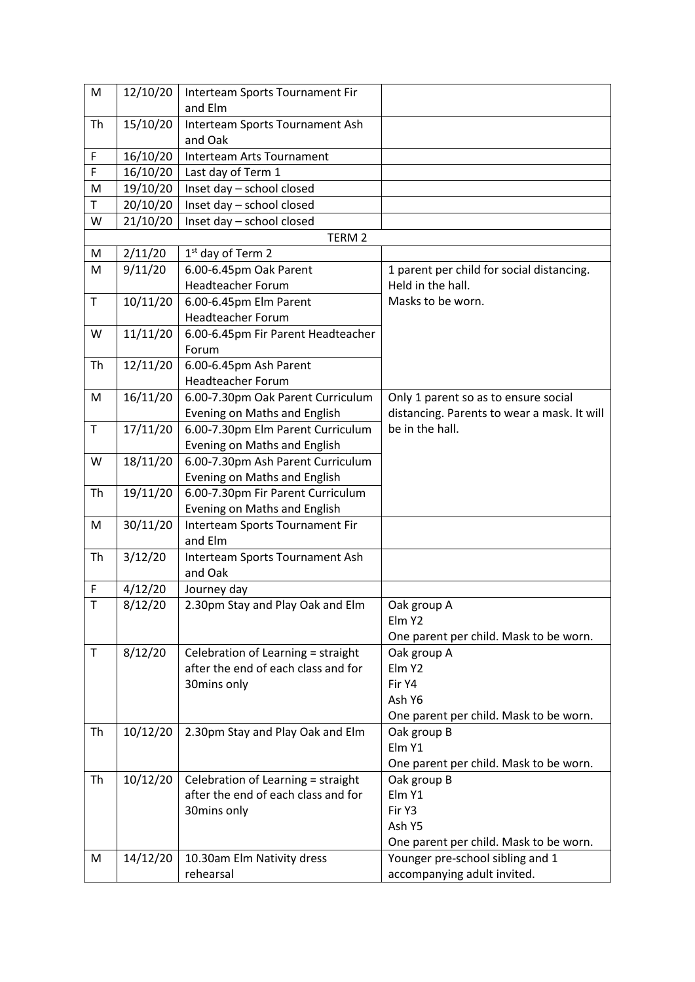| M           | 12/10/20 | Interteam Sports Tournament Fir     |                                             |
|-------------|----------|-------------------------------------|---------------------------------------------|
|             |          | and Elm                             |                                             |
| Th          | 15/10/20 | Interteam Sports Tournament Ash     |                                             |
|             |          | and Oak                             |                                             |
| F           | 16/10/20 | Interteam Arts Tournament           |                                             |
| F           | 16/10/20 | Last day of Term 1                  |                                             |
| M           | 19/10/20 | Inset day - school closed           |                                             |
| Τ           | 20/10/20 | Inset day - school closed           |                                             |
| W           | 21/10/20 | Inset day - school closed           |                                             |
|             |          | TERM <sub>2</sub>                   |                                             |
| М           | 2/11/20  | 1 <sup>st</sup> day of Term 2       |                                             |
| M           | 9/11/20  | 6.00-6.45pm Oak Parent              | 1 parent per child for social distancing.   |
|             |          | <b>Headteacher Forum</b>            | Held in the hall.                           |
| Τ           | 10/11/20 | 6.00-6.45pm Elm Parent              | Masks to be worn.                           |
|             |          | <b>Headteacher Forum</b>            |                                             |
| W           | 11/11/20 | 6.00-6.45pm Fir Parent Headteacher  |                                             |
|             |          | Forum                               |                                             |
| Th          | 12/11/20 | 6.00-6.45pm Ash Parent              |                                             |
|             |          | <b>Headteacher Forum</b>            |                                             |
| M           | 16/11/20 | 6.00-7.30pm Oak Parent Curriculum   | Only 1 parent so as to ensure social        |
|             |          | Evening on Maths and English        | distancing. Parents to wear a mask. It will |
| $\mathsf T$ | 17/11/20 | 6.00-7.30pm Elm Parent Curriculum   | be in the hall.                             |
|             |          | Evening on Maths and English        |                                             |
| W           | 18/11/20 | 6.00-7.30pm Ash Parent Curriculum   |                                             |
|             |          | Evening on Maths and English        |                                             |
| Th          | 19/11/20 | 6.00-7.30pm Fir Parent Curriculum   |                                             |
|             |          | Evening on Maths and English        |                                             |
| M           | 30/11/20 | Interteam Sports Tournament Fir     |                                             |
|             |          | and Elm                             |                                             |
| Th          | 3/12/20  | Interteam Sports Tournament Ash     |                                             |
|             |          | and Oak                             |                                             |
| F           | 4/12/20  | Journey day                         |                                             |
| $\mathsf T$ | 8/12/20  | 2.30pm Stay and Play Oak and Elm    | Oak group A                                 |
|             |          |                                     | Elm Y2                                      |
|             |          |                                     | One parent per child. Mask to be worn.      |
| T           | 8/12/20  | Celebration of Learning = straight  | Oak group A                                 |
|             |          | after the end of each class and for | Elm Y2                                      |
|             |          | 30mins only                         | Fir Y4                                      |
|             |          |                                     | Ash Y6                                      |
|             |          |                                     | One parent per child. Mask to be worn.      |
| Th          | 10/12/20 | 2.30pm Stay and Play Oak and Elm    | Oak group B                                 |
|             |          |                                     | Elm Y1                                      |
|             |          |                                     | One parent per child. Mask to be worn.      |
| Th          | 10/12/20 | Celebration of Learning = straight  | Oak group B                                 |
|             |          | after the end of each class and for | Elm Y1                                      |
|             |          | 30mins only                         | Fir Y3                                      |
|             |          |                                     | Ash Y5                                      |
|             |          |                                     | One parent per child. Mask to be worn.      |
| M           | 14/12/20 | 10.30am Elm Nativity dress          | Younger pre-school sibling and 1            |
|             |          | rehearsal                           | accompanying adult invited.                 |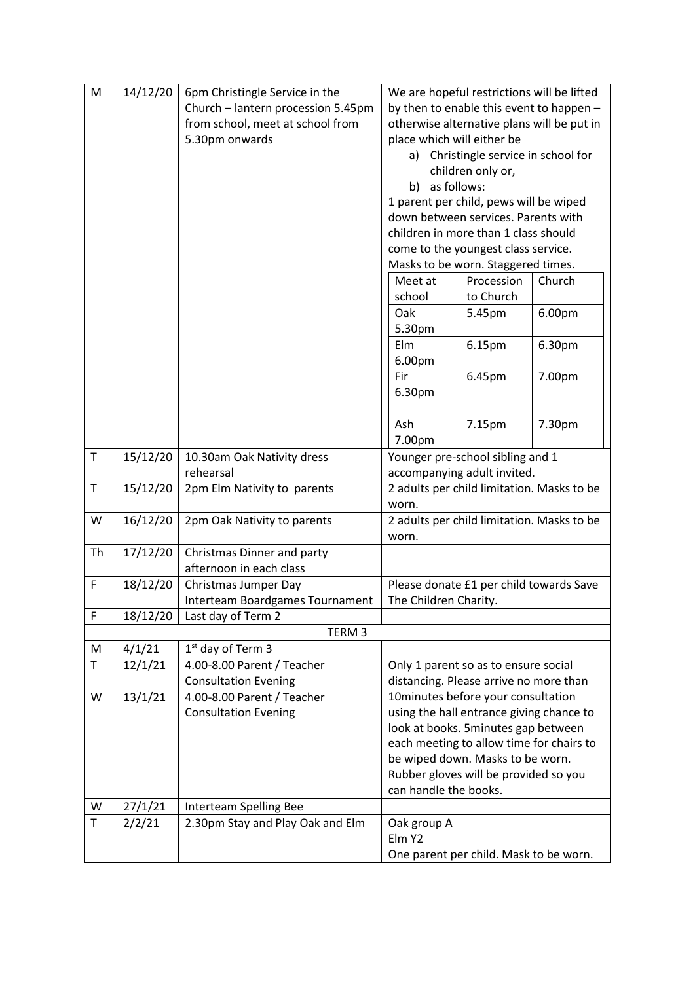| M           | 14/12/20 | 6pm Christingle Service in the     | We are hopeful restrictions will be lifted                                      |                                                                               |        |  |
|-------------|----------|------------------------------------|---------------------------------------------------------------------------------|-------------------------------------------------------------------------------|--------|--|
|             |          | Church - lantern procession 5.45pm | by then to enable this event to happen -                                        |                                                                               |        |  |
|             |          | from school, meet at school from   | otherwise alternative plans will be put in                                      |                                                                               |        |  |
|             |          | 5.30pm onwards                     | place which will either be                                                      |                                                                               |        |  |
|             |          |                                    | Christingle service in school for<br>a)                                         |                                                                               |        |  |
|             |          |                                    | children only or,                                                               |                                                                               |        |  |
|             |          |                                    |                                                                                 |                                                                               |        |  |
|             |          |                                    | b) as follows:                                                                  |                                                                               |        |  |
|             |          |                                    |                                                                                 | 1 parent per child, pews will be wiped<br>down between services. Parents with |        |  |
|             |          |                                    |                                                                                 |                                                                               |        |  |
|             |          |                                    | children in more than 1 class should                                            |                                                                               |        |  |
|             |          |                                    | come to the youngest class service.                                             |                                                                               |        |  |
|             |          |                                    | Masks to be worn. Staggered times.                                              |                                                                               |        |  |
|             |          |                                    | Meet at                                                                         | Procession                                                                    | Church |  |
|             |          |                                    | school                                                                          | to Church                                                                     |        |  |
|             |          |                                    | Oak                                                                             | 5.45pm                                                                        | 6.00pm |  |
|             |          |                                    | 5.30pm                                                                          |                                                                               |        |  |
|             |          |                                    | Elm                                                                             | 6.15pm                                                                        | 6.30pm |  |
|             |          |                                    | 6.00pm                                                                          |                                                                               |        |  |
|             |          |                                    | Fir                                                                             | 6.45pm                                                                        | 7.00pm |  |
|             |          |                                    | 6.30pm                                                                          |                                                                               |        |  |
|             |          |                                    |                                                                                 |                                                                               |        |  |
|             |          |                                    | Ash                                                                             | 7.15pm                                                                        | 7.30pm |  |
|             |          |                                    | 7.00pm                                                                          |                                                                               |        |  |
| $\mathsf T$ | 15/12/20 | 10.30am Oak Nativity dress         | Younger pre-school sibling and 1                                                |                                                                               |        |  |
|             |          | rehearsal                          | accompanying adult invited.                                                     |                                                                               |        |  |
| $\mathsf T$ | 15/12/20 | 2pm Elm Nativity to parents        | 2 adults per child limitation. Masks to be                                      |                                                                               |        |  |
|             |          |                                    | worn.                                                                           |                                                                               |        |  |
| W           | 16/12/20 | 2pm Oak Nativity to parents        | 2 adults per child limitation. Masks to be                                      |                                                                               |        |  |
|             |          |                                    | worn.                                                                           |                                                                               |        |  |
| <b>Th</b>   | 17/12/20 | Christmas Dinner and party         |                                                                                 |                                                                               |        |  |
|             |          | afternoon in each class            |                                                                                 |                                                                               |        |  |
| F           | 18/12/20 | Christmas Jumper Day               |                                                                                 | Please donate £1 per child towards Save                                       |        |  |
|             |          | Interteam Boardgames Tournament    | The Children Charity.                                                           |                                                                               |        |  |
| F           | 18/12/20 | Last day of Term 2                 |                                                                                 |                                                                               |        |  |
|             |          | TERM <sub>3</sub>                  |                                                                                 |                                                                               |        |  |
| M           | 4/1/21   | 1 <sup>st</sup> day of Term 3      |                                                                                 |                                                                               |        |  |
| T           | 12/1/21  |                                    |                                                                                 |                                                                               |        |  |
|             |          | 4.00-8.00 Parent / Teacher         |                                                                                 | Only 1 parent so as to ensure social                                          |        |  |
|             |          | <b>Consultation Evening</b>        |                                                                                 | distancing. Please arrive no more than                                        |        |  |
| W           | 13/1/21  | 4.00-8.00 Parent / Teacher         | 10minutes before your consultation                                              |                                                                               |        |  |
|             |          | <b>Consultation Evening</b>        | using the hall entrance giving chance to                                        |                                                                               |        |  |
|             |          |                                    | look at books. 5minutes gap between<br>each meeting to allow time for chairs to |                                                                               |        |  |
|             |          |                                    |                                                                                 |                                                                               |        |  |
|             |          |                                    |                                                                                 | be wiped down. Masks to be worn.                                              |        |  |
|             |          |                                    | Rubber gloves will be provided so you                                           |                                                                               |        |  |
|             |          |                                    | can handle the books.                                                           |                                                                               |        |  |
| W           | 27/1/21  | Interteam Spelling Bee             |                                                                                 |                                                                               |        |  |
| T           | 2/2/21   | 2.30pm Stay and Play Oak and Elm   | Oak group A                                                                     |                                                                               |        |  |
|             |          |                                    | Elm Y2                                                                          |                                                                               |        |  |
|             |          |                                    |                                                                                 | One parent per child. Mask to be worn.                                        |        |  |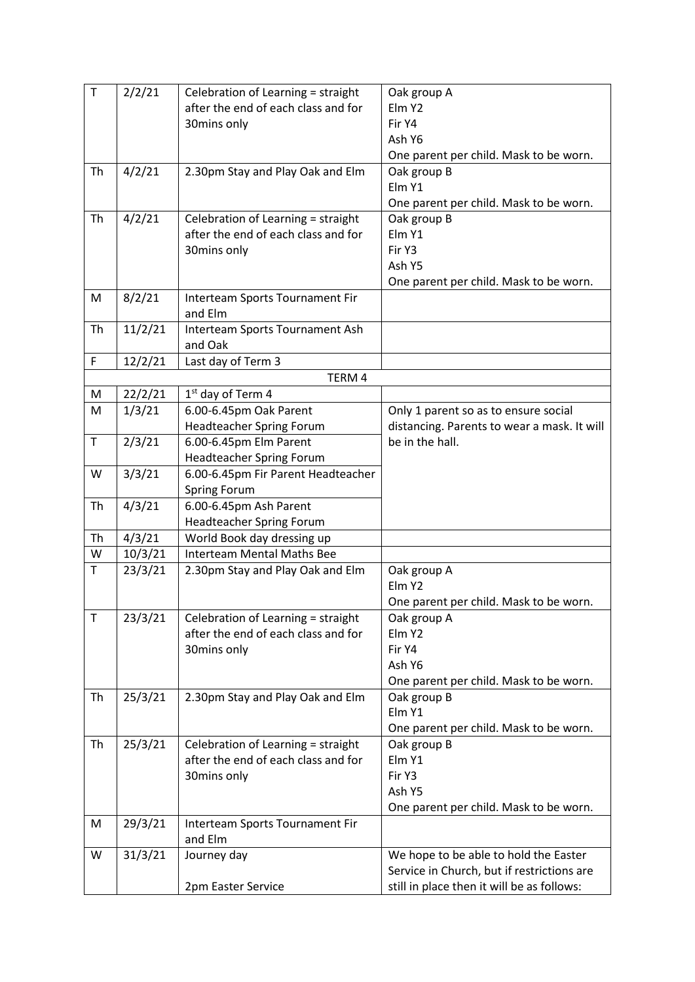| $\top$  | 2/2/21  | Celebration of Learning = straight         | Oak group A                                 |
|---------|---------|--------------------------------------------|---------------------------------------------|
|         |         | after the end of each class and for        | Elm Y2                                      |
|         |         | 30mins only                                | Fir Y4                                      |
|         |         |                                            | Ash Y6                                      |
|         |         |                                            | One parent per child. Mask to be worn.      |
| Th      | 4/2/21  | 2.30pm Stay and Play Oak and Elm           | Oak group B                                 |
|         |         |                                            | Elm Y1                                      |
|         |         |                                            | One parent per child. Mask to be worn.      |
| Th      | 4/2/21  | Celebration of Learning = straight         | Oak group B                                 |
|         |         | after the end of each class and for        | Elm Y1                                      |
|         |         | 30mins only                                | Fir Y3                                      |
|         |         |                                            | Ash Y5                                      |
|         |         |                                            | One parent per child. Mask to be worn.      |
| M       | 8/2/21  | Interteam Sports Tournament Fir<br>and Elm |                                             |
| Th      | 11/2/21 | Interteam Sports Tournament Ash<br>and Oak |                                             |
| F       | 12/2/21 | Last day of Term 3                         |                                             |
|         |         | TERM 4                                     |                                             |
| M       | 22/2/21 | 1 <sup>st</sup> day of Term 4              |                                             |
| M       | 1/3/21  | 6.00-6.45pm Oak Parent                     | Only 1 parent so as to ensure social        |
|         |         | <b>Headteacher Spring Forum</b>            | distancing. Parents to wear a mask. It will |
| $\top$  | 2/3/21  | 6.00-6.45pm Elm Parent                     | be in the hall.                             |
|         |         | <b>Headteacher Spring Forum</b>            |                                             |
| W       | 3/3/21  | 6.00-6.45pm Fir Parent Headteacher         |                                             |
|         |         | <b>Spring Forum</b>                        |                                             |
| Th      | 4/3/21  | 6.00-6.45pm Ash Parent                     |                                             |
|         |         | <b>Headteacher Spring Forum</b>            |                                             |
| Th      | 4/3/21  | World Book day dressing up                 |                                             |
| W<br>T  | 10/3/21 | <b>Interteam Mental Maths Bee</b>          |                                             |
|         | 23/3/21 | 2.30pm Stay and Play Oak and Elm           | Oak group A<br>Elm Y2                       |
|         |         |                                            | One parent per child. Mask to be worn.      |
| $\sf T$ | 23/3/21 | Celebration of Learning = straight         | Oak group A                                 |
|         |         | after the end of each class and for        | Elm Y2                                      |
|         |         | 30mins only                                | Fir Y4                                      |
|         |         |                                            | Ash Y6                                      |
|         |         |                                            | One parent per child. Mask to be worn.      |
| Th      | 25/3/21 | 2.30pm Stay and Play Oak and Elm           | Oak group B                                 |
|         |         |                                            | Elm Y1                                      |
|         |         |                                            | One parent per child. Mask to be worn.      |
| Th      | 25/3/21 | Celebration of Learning = straight         | Oak group B                                 |
|         |         | after the end of each class and for        | Elm Y1                                      |
|         |         | 30mins only                                | Fir Y3                                      |
|         |         |                                            | Ash Y5                                      |
|         |         |                                            | One parent per child. Mask to be worn.      |
| M       | 29/3/21 | Interteam Sports Tournament Fir            |                                             |
|         |         | and Elm                                    |                                             |
| W       | 31/3/21 | Journey day                                | We hope to be able to hold the Easter       |
|         |         |                                            | Service in Church, but if restrictions are  |
|         |         | 2pm Easter Service                         | still in place then it will be as follows:  |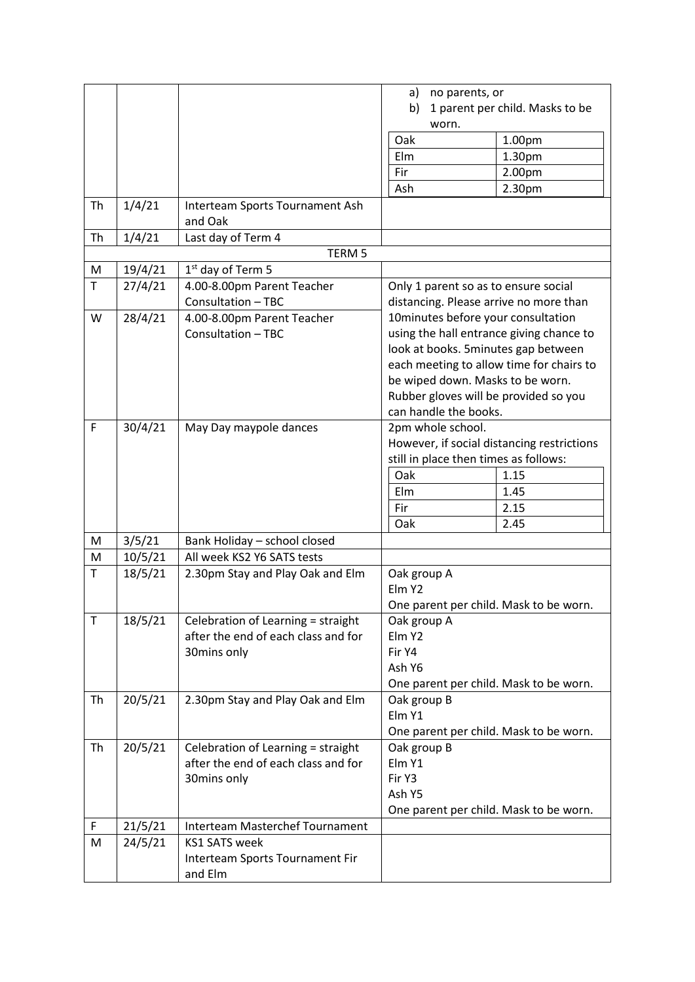|           |         |                                            | a)<br>no parents, or<br>1 parent per child. Masks to be<br>b) |        |
|-----------|---------|--------------------------------------------|---------------------------------------------------------------|--------|
|           |         |                                            | worn.                                                         |        |
|           |         |                                            | Oak                                                           | 1.00pm |
|           |         |                                            | Elm                                                           | 1.30pm |
|           |         |                                            | Fir                                                           | 2.00pm |
|           |         |                                            | Ash                                                           | 2.30pm |
| <b>Th</b> | 1/4/21  | Interteam Sports Tournament Ash<br>and Oak |                                                               |        |
| Th        | 1/4/21  | Last day of Term 4                         |                                                               |        |
|           |         | TERM <sub>5</sub>                          |                                                               |        |
| M         | 19/4/21 | 1 <sup>st</sup> day of Term 5              |                                                               |        |
| T         | 27/4/21 | 4.00-8.00pm Parent Teacher                 | Only 1 parent so as to ensure social                          |        |
|           |         | Consultation - TBC                         | distancing. Please arrive no more than                        |        |
| W         | 28/4/21 | 4.00-8.00pm Parent Teacher                 | 10minutes before your consultation                            |        |
|           |         | Consultation - TBC                         | using the hall entrance giving chance to                      |        |
|           |         |                                            | look at books. 5minutes gap between                           |        |
|           |         |                                            | each meeting to allow time for chairs to                      |        |
|           |         |                                            | be wiped down. Masks to be worn.                              |        |
|           |         |                                            | Rubber gloves will be provided so you                         |        |
|           |         |                                            | can handle the books.                                         |        |
| F         | 30/4/21 | May Day maypole dances                     | 2pm whole school.                                             |        |
|           |         |                                            | However, if social distancing restrictions                    |        |
|           |         |                                            | still in place then times as follows:                         |        |
|           |         |                                            | Oak                                                           | 1.15   |
|           |         |                                            | Elm                                                           | 1.45   |
|           |         |                                            | Fir                                                           | 2.15   |
|           |         |                                            | Oak                                                           | 2.45   |
| M         | 3/5/21  | Bank Holiday - school closed               |                                                               |        |
| M         | 10/5/21 | All week KS2 Y6 SATS tests                 |                                                               |        |
| T         | 18/5/21 | 2.30pm Stay and Play Oak and Elm           | Oak group A                                                   |        |
|           |         |                                            | Elm Y2                                                        |        |
|           |         |                                            | One parent per child. Mask to be worn.                        |        |
| T         | 18/5/21 | Celebration of Learning = straight         | Oak group A                                                   |        |
|           |         | after the end of each class and for        | Elm Y2                                                        |        |
|           |         | 30mins only                                | Fir Y4                                                        |        |
|           |         |                                            | Ash Y6                                                        |        |
|           |         |                                            | One parent per child. Mask to be worn.                        |        |
| Th        | 20/5/21 | 2.30pm Stay and Play Oak and Elm           | Oak group B                                                   |        |
|           |         |                                            | Elm Y1                                                        |        |
|           |         |                                            | One parent per child. Mask to be worn.                        |        |
| Th        | 20/5/21 | Celebration of Learning = straight         | Oak group B                                                   |        |
|           |         | after the end of each class and for        | Elm Y1                                                        |        |
|           |         | 30mins only                                | Fir Y3                                                        |        |
|           |         |                                            | Ash Y5                                                        |        |
|           |         |                                            | One parent per child. Mask to be worn.                        |        |
| F         | 21/5/21 | Interteam Masterchef Tournament            |                                                               |        |
| M         | 24/5/21 | <b>KS1 SATS week</b>                       |                                                               |        |
|           |         | Interteam Sports Tournament Fir<br>and Elm |                                                               |        |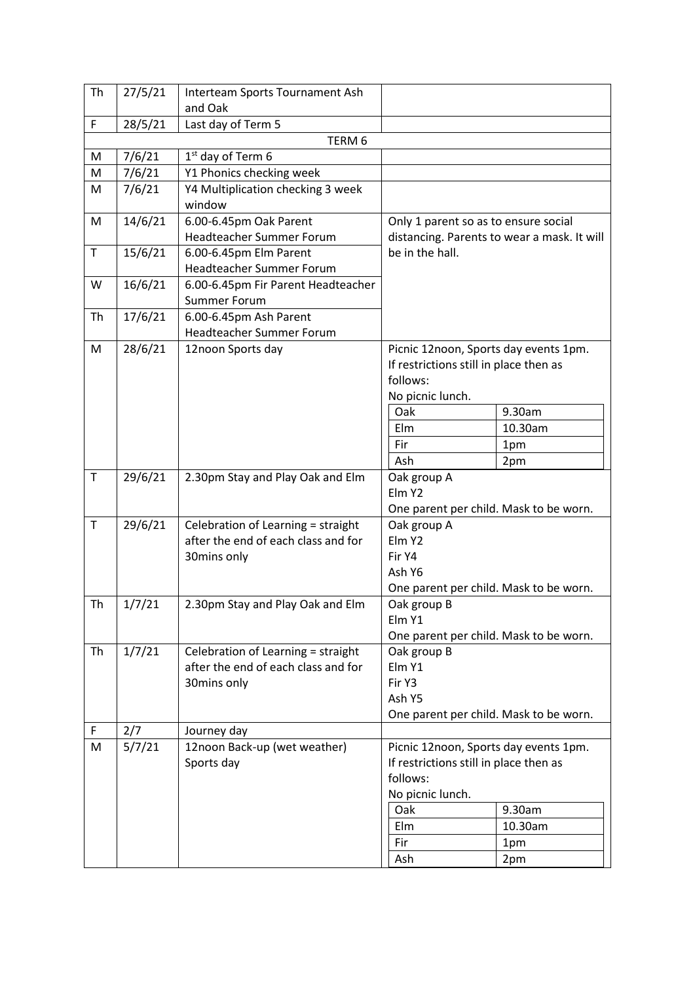| Th          | 27/5/21       | Interteam Sports Tournament Ash             |                                                    |                                             |  |  |
|-------------|---------------|---------------------------------------------|----------------------------------------------------|---------------------------------------------|--|--|
|             |               | and Oak                                     |                                                    |                                             |  |  |
| $\mathsf F$ | 28/5/21       | Last day of Term 5                          |                                                    |                                             |  |  |
|             |               | TERM <sub>6</sub>                           |                                                    |                                             |  |  |
| M           | 7/6/21        | 1 <sup>st</sup> day of Term 6               |                                                    |                                             |  |  |
| M           | 7/6/21        | Y1 Phonics checking week                    |                                                    |                                             |  |  |
| M           | 7/6/21        | Y4 Multiplication checking 3 week<br>window |                                                    |                                             |  |  |
| M           | 14/6/21       | 6.00-6.45pm Oak Parent                      | Only 1 parent so as to ensure social               |                                             |  |  |
|             |               | Headteacher Summer Forum                    |                                                    | distancing. Parents to wear a mask. It will |  |  |
| $\mathsf T$ | 15/6/21       | 6.00-6.45pm Elm Parent                      | be in the hall.                                    |                                             |  |  |
|             |               | Headteacher Summer Forum                    |                                                    |                                             |  |  |
| W           | 16/6/21       | 6.00-6.45pm Fir Parent Headteacher          |                                                    |                                             |  |  |
|             |               | Summer Forum                                |                                                    |                                             |  |  |
| Th          | 17/6/21       | 6.00-6.45pm Ash Parent                      |                                                    |                                             |  |  |
|             |               | Headteacher Summer Forum                    |                                                    |                                             |  |  |
| M           | 28/6/21       | 12noon Sports day                           | Picnic 12noon, Sports day events 1pm.              |                                             |  |  |
|             |               |                                             | If restrictions still in place then as             |                                             |  |  |
|             |               |                                             | follows:                                           |                                             |  |  |
|             |               |                                             | No picnic lunch.                                   |                                             |  |  |
|             |               |                                             | Oak                                                | 9.30am                                      |  |  |
|             |               |                                             | Elm                                                | 10.30am                                     |  |  |
|             |               |                                             | Fir                                                | 1pm                                         |  |  |
|             |               |                                             | Ash                                                | 2pm                                         |  |  |
| $\mathsf T$ | 29/6/21       | 2.30pm Stay and Play Oak and Elm            | Oak group A                                        |                                             |  |  |
|             |               |                                             | Elm Y2                                             |                                             |  |  |
|             |               |                                             | One parent per child. Mask to be worn.             |                                             |  |  |
| $\mathsf T$ | 29/6/21       | Celebration of Learning = straight          | Oak group A                                        |                                             |  |  |
|             |               | after the end of each class and for         | Elm Y2                                             |                                             |  |  |
|             |               | 30mins only                                 | Fir Y4                                             |                                             |  |  |
|             |               |                                             | Ash Y6                                             |                                             |  |  |
|             |               |                                             | One parent per child. Mask to be worn.             |                                             |  |  |
| Th          | 1/7/21        | 2.30pm Stay and Play Oak and Elm            | Oak group B                                        |                                             |  |  |
|             |               |                                             | Elm Y1                                             |                                             |  |  |
|             |               |                                             | One parent per child. Mask to be worn.             |                                             |  |  |
| Th          | 1/7/21        | Celebration of Learning = straight          | Oak group B                                        |                                             |  |  |
|             |               | after the end of each class and for         | Elm Y1                                             |                                             |  |  |
|             |               | 30mins only                                 | Fir Y3                                             |                                             |  |  |
|             |               |                                             | Ash Y5                                             |                                             |  |  |
| F           |               |                                             | One parent per child. Mask to be worn.             |                                             |  |  |
| M           | 2/7<br>5/7/21 | Journey day<br>12noon Back-up (wet weather) |                                                    |                                             |  |  |
|             |               | Sports day                                  | Picnic 12noon, Sports day events 1pm.              |                                             |  |  |
|             |               |                                             | If restrictions still in place then as<br>follows: |                                             |  |  |
|             |               |                                             | No picnic lunch.                                   |                                             |  |  |
|             |               |                                             | Oak                                                | 9.30am                                      |  |  |
|             |               |                                             | Elm                                                | 10.30am                                     |  |  |
|             |               |                                             | Fir                                                |                                             |  |  |
|             |               |                                             | Ash                                                | 1pm                                         |  |  |
|             |               |                                             |                                                    | 2pm                                         |  |  |